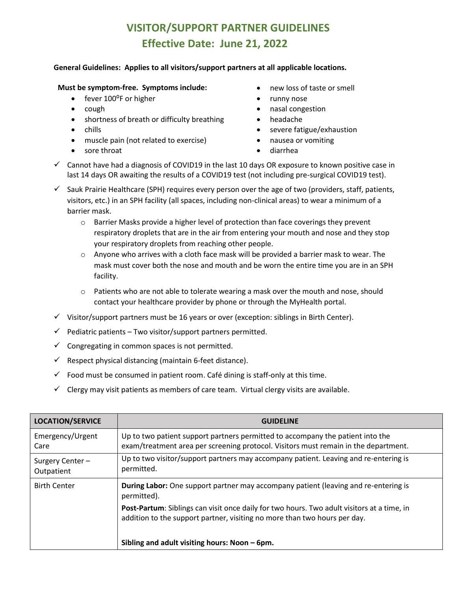## **VISITOR/SUPPORT PARTNER GUIDELINES Effective Date: June 21, 2022**

## **General Guidelines: Applies to all visitors/support partners at all applicable locations.**

## **Must be symptom-free. Symptoms include:** • new loss of taste or smell

- fever 100°F or higher **•** runny nose
- 
- shortness of breath or difficulty breathing headache
- 
- muscle pain (not related to exercise) nausea or vomiting
- sore throat **•** diarrhea
- 
- 
- cough **•** nasal congestion
	-
- chills  **severe fatigue/exhaustion** 
	-
	-
- $\checkmark$  Cannot have had a diagnosis of COVID19 in the last 10 days OR exposure to known positive case in last 14 days OR awaiting the results of a COVID19 test (not including pre-surgical COVID19 test).
- $\checkmark$  Sauk Prairie Healthcare (SPH) requires every person over the age of two (providers, staff, patients, visitors, etc.) in an SPH facility (all spaces, including non-clinical areas) to wear a minimum of a barrier mask.
	- $\circ$  Barrier Masks provide a higher level of protection than face coverings they prevent respiratory droplets that are in the air from entering your mouth and nose and they stop your respiratory droplets from reaching other people.
	- $\circ$  Anyone who arrives with a cloth face mask will be provided a barrier mask to wear. The mask must cover both the nose and mouth and be worn the entire time you are in an SPH facility.
	- o Patients who are not able to tolerate wearing a mask over the mouth and nose, should contact your healthcare provider by phone or through the MyHealth portal.
- ✓ Visitor/support partners must be 16 years or over (exception: siblings in Birth Center).
- $\checkmark$  Pediatric patients Two visitor/support partners permitted.
- $\checkmark$  Congregating in common spaces is not permitted.
- $\checkmark$  Respect physical distancing (maintain 6-feet distance).
- $\checkmark$  Food must be consumed in patient room. Café dining is staff-only at this time.
- $\checkmark$  Clergy may visit patients as members of care team. Virtual clergy visits are available.

| <b>LOCATION/SERVICE</b>       | <b>GUIDELINE</b>                                                                                                                                                        |
|-------------------------------|-------------------------------------------------------------------------------------------------------------------------------------------------------------------------|
| Emergency/Urgent<br>Care      | Up to two patient support partners permitted to accompany the patient into the<br>exam/treatment area per screening protocol. Visitors must remain in the department.   |
| Surgery Center-<br>Outpatient | Up to two visitor/support partners may accompany patient. Leaving and re-entering is<br>permitted.                                                                      |
| <b>Birth Center</b>           | <b>During Labor:</b> One support partner may accompany patient (leaving and re-entering is<br>permitted).                                                               |
|                               | Post-Partum: Siblings can visit once daily for two hours. Two adult visitors at a time, in<br>addition to the support partner, visiting no more than two hours per day. |
|                               | Sibling and adult visiting hours: Noon – 6pm.                                                                                                                           |